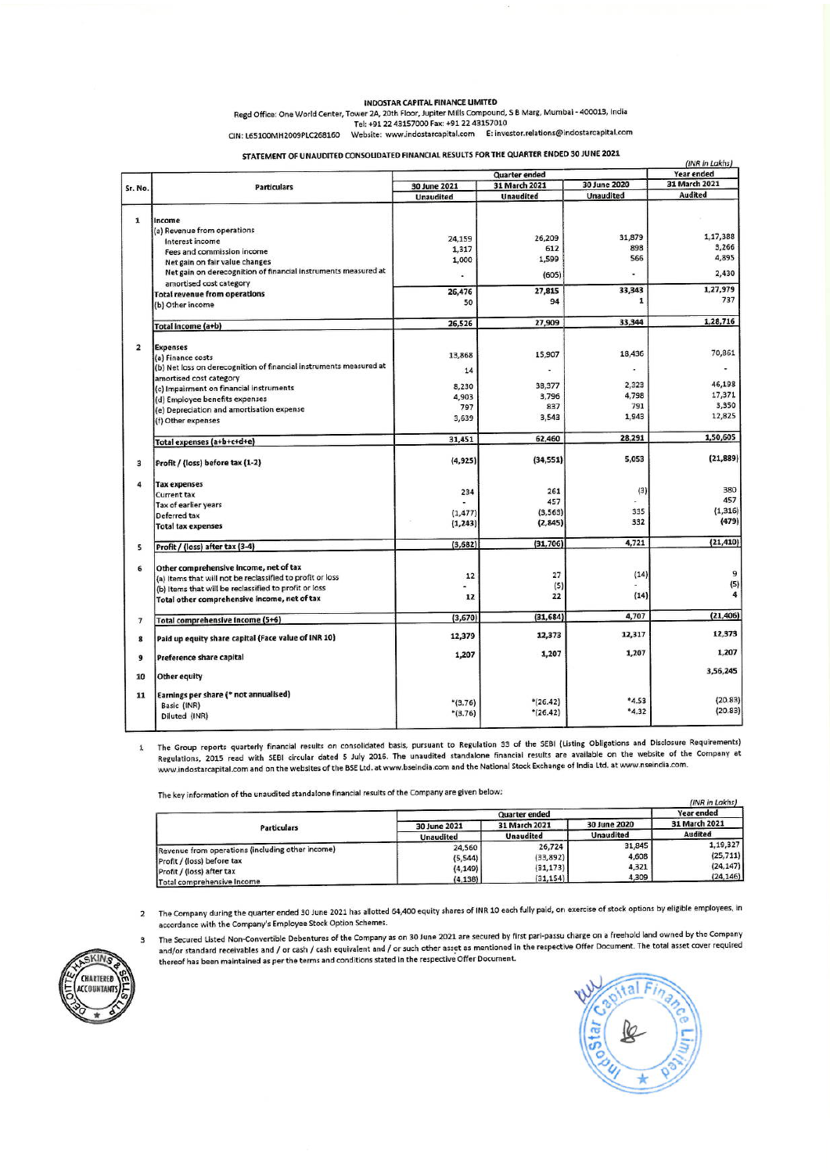#### **INDOSTAR CAPITAL FINANCE LIMITED**

Regd Office: One World Center, Tower 2A, 20th Floor, Jupiter Mills Compound, S B Marg, Mumbai - 400013, India<br>Tel: +91 22 43157000 Fax: +91 22 43157000 Fax: +91 22 43157000 Fax: +91 22 43157000 Fax: +91 22 43157000 Fax: +9

CIN: L65100MH2009PLC268160 Website: www.indostarcapital.com E: investor.relations@indostarcapital.com

STATEMENT OF UNAUDITED CONSOLIDATED FINANCIAL RESULTS FOR THE QUARTER ENDED 30 JUNE 2021

|                |                                                                                               | (INR in Lakhs)                |                  |                  |                |  |
|----------------|-----------------------------------------------------------------------------------------------|-------------------------------|------------------|------------------|----------------|--|
| Sr. No.        | <b>Particulars</b>                                                                            | <b>Quarter</b> ended          |                  |                  | Year ended     |  |
|                |                                                                                               | 31 March 2021<br>30 June 2021 |                  | 30 June 2020     | 31 March 2021  |  |
|                |                                                                                               | <b>Unaudited</b>              | <b>Unaudited</b> | <b>Unaudited</b> | <b>Audited</b> |  |
| 1              | Income                                                                                        |                               |                  |                  |                |  |
|                | (a) Revenue from operations<br>Interest income                                                | 24,159                        | 26,209           | 31,879           | 1,17,388       |  |
|                | Fees and commission income                                                                    | 1,317                         | 612              | 898              | 3,266          |  |
|                | Net gain on fair value changes                                                                | 1,000                         | 1,599            | 566              | 4,895          |  |
|                | Net gain on derecognition of financial instruments measured at<br>amortised cost category     |                               | (605)            |                  | 2,430          |  |
|                | <b>Total revenue from operations</b>                                                          | 26,476                        | 27,815           | 33,343           | 1,27,979       |  |
|                | (b) Other income                                                                              | 50                            | 94               | $\mathbf{1}$     | 737            |  |
|                | Total income (a+b)                                                                            | 26,526                        | 27,909           | 33,344           | 1,28,716       |  |
| $\overline{2}$ |                                                                                               |                               |                  |                  |                |  |
|                | <b>Expenses</b><br>(a) Finance costs                                                          | 13,868                        | 15,907           | 18,436           | 70,861         |  |
|                | (b) Net loss on derecognition of financial instruments measured at<br>amortised cost category | 14                            |                  |                  |                |  |
|                | (c) Impairment on financial instruments                                                       | 8,230                         | 38,377           | 2,323            | 46,198         |  |
|                | (d) Employee benefits expenses                                                                | 4,903                         | 3,796            | 4,798            | 17,371         |  |
|                | (e) Depreciation and amortisation expense                                                     | 797                           | 837              | 791              | 3,350          |  |
|                | (f) Other expenses                                                                            | 3,639                         | 3,543            | 1,943            | 12,825         |  |
|                | Total expenses (a+b+c+d+e)                                                                    | 31,451                        | 62,460           | 28,291           | 1,50,605       |  |
| 3              | Profit / (loss) before tax (1-2)                                                              | (4, 925)                      | (34, 551)        | 5,053            | (21, 889)      |  |
| 4              | <b>Tax expenses</b>                                                                           |                               |                  |                  |                |  |
|                | <b>Current tax</b>                                                                            | 234                           | 261              | (3)              | 380            |  |
|                | Tax of earlier years                                                                          |                               | 457              |                  | 457            |  |
|                | Deferred tax                                                                                  | (1, 477)                      | (3, 563)         | 335              | (1, 316)       |  |
|                | <b>Total tax expenses</b>                                                                     | (1, 243)                      | (2, 845)         | 332              | (479)          |  |
| 5              | Profit / (loss) after tax (3-4)                                                               | (3,682)                       | (31, 706)        | 4,721            | (21, 410)      |  |
| 6              | Other comprehensive income, net of tax                                                        |                               |                  |                  |                |  |
|                | (a) Items that will not be reclassified to profit or loss                                     | 12                            | 27               | (14)             | 9              |  |
|                | (b) Items that will be reclassified to profit or loss                                         |                               | (5)              |                  | (5)            |  |
|                | Total other comprehensive income, net of tax                                                  | 12                            | 22               | (14)             |                |  |
| $\overline{7}$ | Total comprehensive Income (5+6)                                                              | (3,670)                       | (31, 684)        | 4,707            | (21, 406)      |  |
| 8              | Paid up equity share capital (Face value of INR 10)                                           | 12,379                        | 12,373           | 12,317           | 12,373         |  |
| 9              | Preference share capital                                                                      | 1,207                         | 1,207            | 1,207            | 1,207          |  |
| 10             | Other equity                                                                                  |                               |                  |                  | 3,56,245       |  |
| 11             | Earnings per share (* not annualised)                                                         |                               |                  |                  |                |  |
|                | Basic (INR)                                                                                   | $*(3.76)$                     | $*(26.42)$       | *4.53            | (20.83)        |  |
|                | Diluted (INR)                                                                                 | $*(3.76)$                     | $*(26.42)$       | $*4.32$          | (20.83)        |  |

The Group reports quarterly financial results on consolidated basis, pursuant to Regulation 33 of the SEBI (Listing Obligations and Disclosure Requirements)  ${\tt 1}$ Regulations, 2015 read with SEBI circular dated 5 July 2016. The unaudited standalone financial results are available on the website of the Company at www.indostarcapital.com and on the websites of the BSE Ltd. at www.bseindia.com and the National Stock Exchange of India Ltd. at www.nseindia.com.

The key information of the unaudited standalone financial results of the Company are given below:

|                                                   | Quarter ended    |                                   |                                  | Year ended                      |
|---------------------------------------------------|------------------|-----------------------------------|----------------------------------|---------------------------------|
| <b>Particulars</b>                                | 30 June 2021     | 31 March 2021<br><b>Unaudited</b> | 30 June 2020<br><b>Unaudited</b> | 31 March 2021<br><b>Audited</b> |
|                                                   | <b>Unaudited</b> |                                   |                                  |                                 |
| [Revenue from operations (including other income) | 24,560           | 26,724                            | 31,845                           | 1,19,327                        |
| Profit / (loss) before tax                        | (5, 544)         | (33, 892)                         | 4,608                            | (25, 711)                       |
| Profit / (loss) after tax                         | (4, 149)         | (31, 173)                         | 4,321                            | (24, 147)                       |
| Total comprehensive Income                        | (4, 138)         | (31, 154)                         | 4,309                            | (24, 146)                       |

2 The Company during the quarter ended 30 June 2021 has allotted 64,400 equity shares of INR 10 each fully paid, on exercise of stock options by eligible employees, in accordance with the Company's Employee Stock Option Schemes.

The Secured Listed Non-Convertible Debentures of the Company as on 30 June 2021 are secured by first pari-passu charge on a freehold land owned by the Company  $\mathbf{3}$ and/or standard receivables and / or cash / cash equivalent and / or such other asset as mentioned in the respective Offer Document. The total asset cover required thereof has been maintained as per the terms and conditions stated in the respective Offer Document.



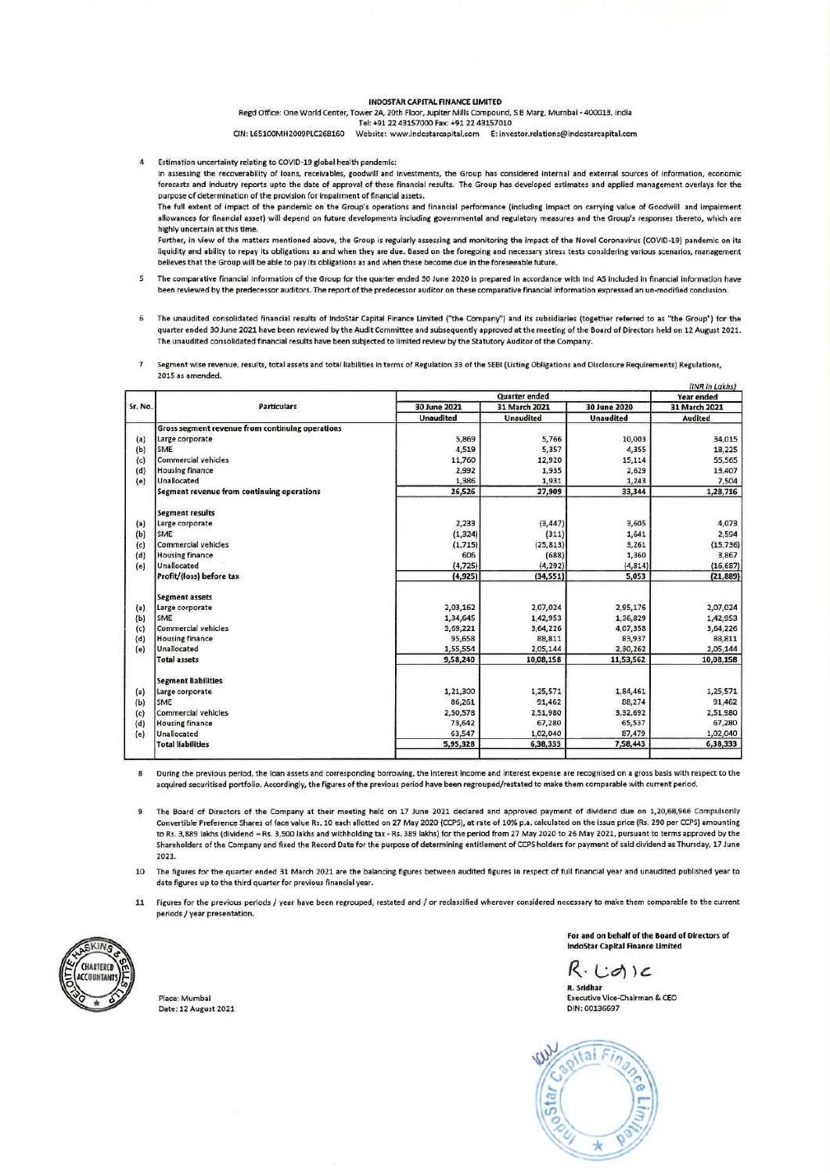#### **INDOSTAR CAPITAL FINANCE LIMITED**

Regd Office: One World Center, Tower 2A, 20th Floor, Jupiter Mills Compound, S B Marg, Mumbai - 400013, India Tel: +91 22 43157000 Fax: +91 22 43157010

CIN: L65100MH2009PLC268160 Website: www.indostarcapital.com E: investor.relations@indostarcapital.com

Estimation uncertainty relating to COVID-19 global health pandemic:  $\overline{4}$ 

In assessing the recoverability of loans, receivables, goodwill and investments, the Group has considered internal and external sources of information, economic forecasts and industry reports upto the date of approval of these financial results. The Group has developed estimates and applied management overlays for the purpose of determination of the provision for impairment of financial assets.

The full extent of impact of the pandemic on the Group's operations and financial performance (including impact on carrying value of Goodwill and impairment allowances for financial asset) will depend on future developments including governmental and regulatory measures and the Group's responses thereto, which are highly uncertain at this time.

Further, in view of the matters mentioned above, the Group is regularly assessing and monitoring the impact of the Novel Coronavirus (COVID-19) pandemic on its liquidity and ability to repay its obligations as and when they are due. Based on the foregoing and necessary stress tests considering various scenarios, management believes that the Group will be able to pay its obligations as and when these become due in the foreseeable future.

- $\overline{\mathbf{s}}$ The comparative financial information of the Group for the quarter ended 30 June 2020 is prepared in accordance with Ind AS included in financial information have been reviewed by the predecessor auditors. The report of the predecessor auditor on these comparative financial information expressed an un-modified conclusion.
- The unaudited consolidated financial results of IndoStar Capital Finance Limited ("the Company") and its subsidiaries (together referred to as "the Group") for the 6 quarter ended 30 June 2021 have been reviewed by the Audit Committee and subsequently approved at the meeting of the Board of Directors held on 12 August 2021. The unaudited consolidated financial results have been subjected to limited review by the Statutory Auditor of the Company.
- $\overline{1}$ Segment wise revenue, results, total assets and total liabilities in terms of Regulation 33 of the SEBI (Listing Obligations and Disclosure Requirements) Regulations, 2015 as amended

|         |                                                  | Quarter ended    |                  |                  | (INK IN LAKNS)<br>Year ended |  |
|---------|--------------------------------------------------|------------------|------------------|------------------|------------------------------|--|
| Sr. No. | <b>Particulars</b>                               | 30 June 2021     | 31 March 2021    | 30 June 2020     | 31 March 2021                |  |
|         |                                                  | <b>Unaudited</b> | <b>Unaudited</b> | <b>Unaudited</b> | <b>Audited</b>               |  |
|         | Gross segment revenue from continuing operations |                  |                  |                  |                              |  |
| (a)     | Large corporate                                  | 5,869            | 5,766            | 10,003           | 34,015                       |  |
| (b)     | SME                                              | 4,519            | 5,357            | 4,355            | 18,225                       |  |
| (c)     | Commercial vehicles                              | 11,760           | 12,920           | 15,114           | 55,565                       |  |
| (d)     | <b>Housing finance</b>                           | 2,992            | 1,935            | 2,629            | 13,407                       |  |
| (e)     | Unallocated                                      | 1,386            | 1,931            | 1,243            | 7,504                        |  |
|         | Segment revenue from continuing operations       | 26,526           | 27,909           | 33,344           | 1,28,716                     |  |
|         | <b>Segment results</b>                           |                  |                  |                  |                              |  |
| (a)     | Large corporate                                  | 2,233            | (3, 447)         | 3,605            | 4,073                        |  |
| (b)     | SME                                              | (1, 324)         | (311)            | 1,641            | 2,594                        |  |
| (c)     | <b>Commercial vehicles</b>                       | (1, 715)         | (25, 813)        | 3,261            | (15, 736)                    |  |
| (d)     | <b>Housing finance</b>                           | 606              | (688)            | 1,360            | 3,867                        |  |
| (e)     | Unallocated                                      | (4, 725)         | (4, 292)         | (4, 814)         | (16, 687)                    |  |
|         | Profit/(loss) before tax                         | (4, 925)         | (34, 551)        | 5,053            | (21, 889)                    |  |
|         | <b>Segment assets</b>                            |                  |                  |                  |                              |  |
| (a)     | Large corporate                                  | 2,03,162         | 2,07,024         | 2,95,176         | 2,07,024                     |  |
| (b)     | SME                                              | 1,34,645         | 1,42,953         | 1,36,829         | 1,42,953                     |  |
| (c)     | Commercial vehicles                              | 3,69,221         | 3,64,226         | 4,07,358         | 3,64,226                     |  |
| (d)     | <b>Housing finance</b>                           | 95,658           | 88,811           | 83,937           | 88,811                       |  |
| (e)     | Unallocated                                      | 1,55,554         | 2,05,144         | 2,30,262         | 2,05,144                     |  |
|         | <b>Total assets</b>                              | 9,58,240         | 10,08,158        | 11,53,562        | 10,08,158                    |  |
|         | <b>Segment liabilities</b>                       |                  |                  |                  |                              |  |
| (a)     | Large corporate                                  | 1,21,300         | 1,25,571         | 1,84,461         | 1,25,571                     |  |
| (b)     | SME                                              | 86,261           | 91,462           | 88,274           | 91,462                       |  |
| (c)     | Commercial vehicles                              | 2,50,578         | 2,51,980         | 3,32,692         | 2,51,980                     |  |
| (d)     | <b>Housing finance</b>                           | 73,642           | 67,280           | 65,537           | 67,280                       |  |
| (e)     | Unallocated                                      | 63,547           | 1,02,040         | 87,479           | 1,02,040                     |  |
|         | <b>Total liabilities</b>                         | 5,95,328         | 6,38,333         | 7,58,443         | 6,38,333                     |  |

During the previous period, the loan assets and corresponding borrowing, the interest income and interest expense are recognised on a gross basis with respect to the 8 acquired securitised portfolio. Accordingly, the figures of the previous period have been regrouped/restated to make them comparable with current period.

The Board of Directors of the Company at their meeting held on 17 June 2021 declared and approved payment of dividend due on 1.20.68.966 Compulsorily  $\overline{9}$ Convertible Preference Shares of face value Rs. 10 each allotted on 27 May 2020 (CCPS), at rate of 10% p.a. calculated on the issue price (Rs. 290 per CCPS) amounting to Rs. 3,889 lakhs (dividend - Rs. 3,500 lakhs and withholding tax - Rs. 389 lakhs) for the period from 27 May 2020 to 26 May 2021, pursuant to terms approved by the Shareholders of the Company and fixed the Record Date for the purpose of determining entitlement of CCPS holders for payment of said dividend as Thursday, 17 June 2021.

The figures for the quarter ended 31 March 2021 are the balancing figures between audited figures in respect of full financial year and unaudited published year to  $10$ date figures up to the third quarter for previous financial year.

11 Figures for the previous periods / year have been regrouped, restated and / or reclassified wherever considered necessary to make them comparable to the current periods / year presentation.



Place: Mumbai Date: 12 August 2021 For and on behalf of the Board of Directors of **IndoStar Capital Finance Limited** 

 $R \cdot C$ otic R. Sridhar

Executive Vice-Chairman & CEO DIN: 00136697

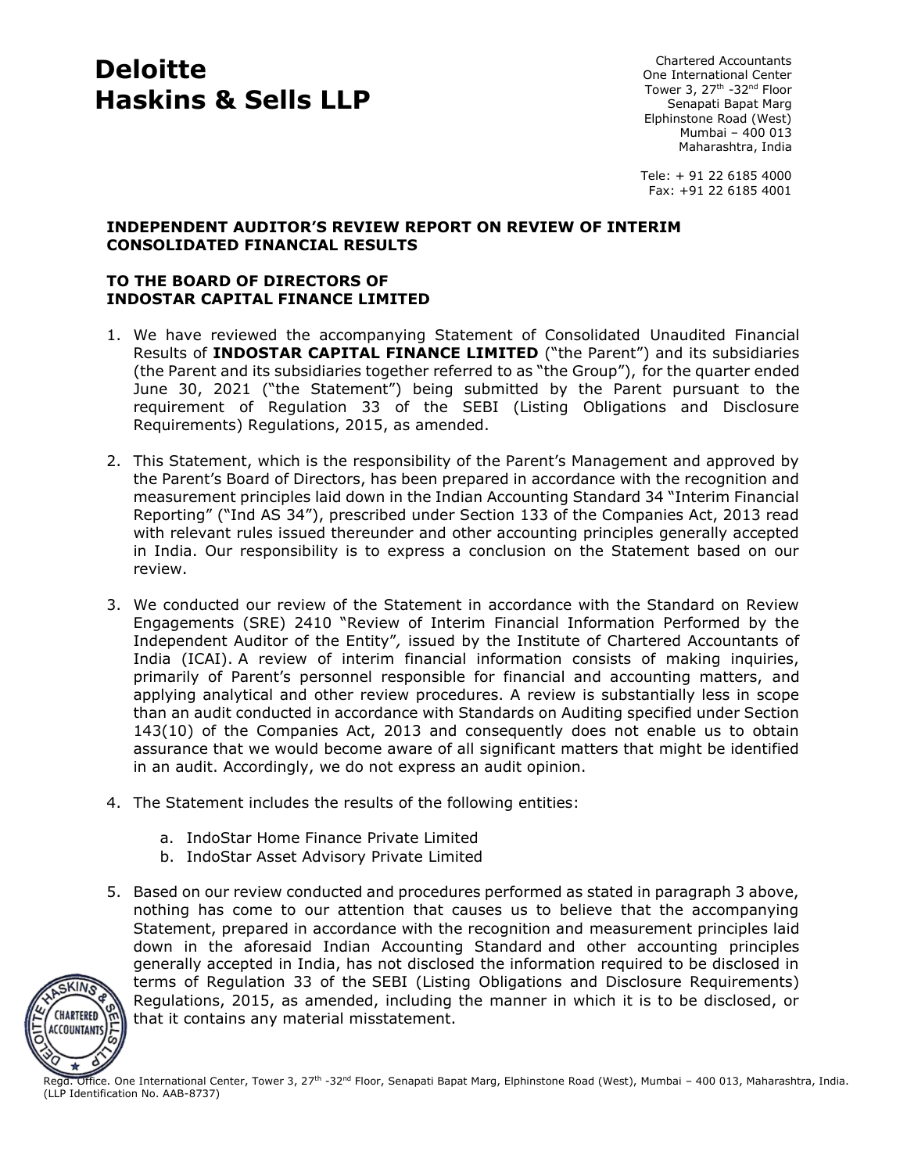# **Deloitte Haskins & Sells LLP**

Chartered Accountants One International Center Tower 3, 27<sup>th</sup> -32<sup>nd</sup> Floor Senapati Bapat Marg Elphinstone Road (West) Mumbai – 400 013 Maharashtra, India

Tele: + 91 22 6185 4000 Fax: +91 22 6185 4001

### **INDEPENDENT AUDITOR'S REVIEW REPORT ON REVIEW OF INTERIM CONSOLIDATED FINANCIAL RESULTS**

## **TO THE BOARD OF DIRECTORS OF INDOSTAR CAPITAL FINANCE LIMITED**

- 1. We have reviewed the accompanying Statement of Consolidated Unaudited Financial Results of **INDOSTAR CAPITAL FINANCE LIMITED** ("the Parent") and its subsidiaries (the Parent and its subsidiaries together referred to as "the Group"), for the quarter ended June 30, 2021 ("the Statement") being submitted by the Parent pursuant to the requirement of Regulation 33 of the SEBI (Listing Obligations and Disclosure Requirements) Regulations, 2015, as amended.
- 2. This Statement, which is the responsibility of the Parent's Management and approved by the Parent's Board of Directors, has been prepared in accordance with the recognition and measurement principles laid down in the Indian Accounting Standard 34 "Interim Financial Reporting" ("Ind AS 34"), prescribed under Section 133 of the Companies Act, 2013 read with relevant rules issued thereunder and other accounting principles generally accepted in India. Our responsibility is to express a conclusion on the Statement based on our review.
- 3. We conducted our review of the Statement in accordance with the Standard on Review Engagements (SRE) 2410 "Review of Interim Financial Information Performed by the Independent Auditor of the Entity"*,* issued by the Institute of Chartered Accountants of India (ICAI). A review of interim financial information consists of making inquiries, primarily of Parent's personnel responsible for financial and accounting matters, and applying analytical and other review procedures. A review is substantially less in scope than an audit conducted in accordance with Standards on Auditing specified under Section 143(10) of the Companies Act, 2013 and consequently does not enable us to obtain assurance that we would become aware of all significant matters that might be identified in an audit. Accordingly, we do not express an audit opinion.
- 4. The Statement includes the results of the following entities:
	- a. IndoStar Home Finance Private Limited
	- b. IndoStar Asset Advisory Private Limited
- 5. Based on our review conducted and procedures performed as stated in paragraph 3 above, nothing has come to our attention that causes us to believe that the accompanying Statement, prepared in accordance with the recognition and measurement principles laid down in the aforesaid Indian Accounting Standard and other accounting principles generally accepted in India, has not disclosed the information required to be disclosed in terms of Regulation 33 of the SEBI (Listing Obligations and Disclosure Requirements) Regulations, 2015, as amended, including the manner in which it is to be disclosed, or that it contains any material misstatement.



Regd. Office. One International Center, Tower 3, 27<sup>th</sup> -32<sup>nd</sup> Floor, Senapati Bapat Marg, Elphinstone Road (West), Mumbai – 400 013, Maharashtra, India. (LLP Identification No. AAB-8737)